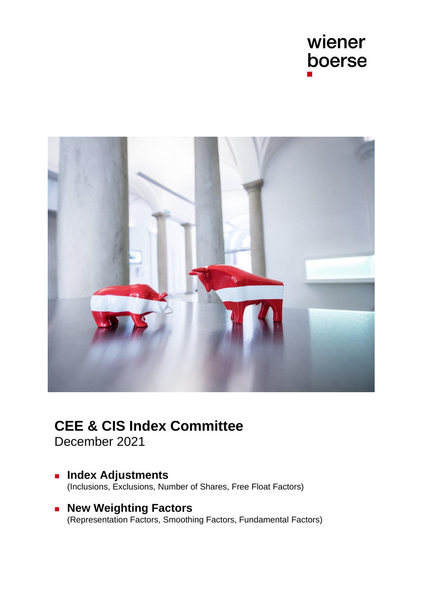



# **CEE & CIS Index Committee**

December 2021

- Index Adjustments [\(Inclusions, Exclusions, Number of Shares, Free Float Factors\)](#page-1-0)
- New Weighting Factors [\(Representation Factors, Smoothing Factors, Fundamental Factors\)](#page-6-0)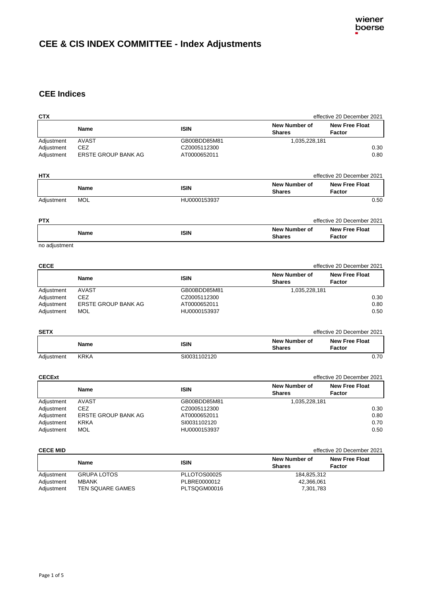## <span id="page-1-0"></span>**CEE & CIS INDEX COMMITTEE - Index Adjustments**

## **CEE Indices**

| <b>CTX</b>      |                     |              |                                       | effective 20 December 2021      |
|-----------------|---------------------|--------------|---------------------------------------|---------------------------------|
|                 | <b>Name</b>         | <b>ISIN</b>  | <b>New Number of</b><br><b>Shares</b> | <b>New Free Float</b><br>Factor |
| Adjustment      | <b>AVAST</b>        | GB00BDD85M81 | 1,035,228,181                         |                                 |
| Adjustment      | <b>CEZ</b>          | CZ0005112300 |                                       | 0.30                            |
| Adjustment      | ERSTE GROUP BANK AG | AT0000652011 |                                       | 0.80                            |
| <b>HTX</b>      |                     |              |                                       | effective 20 December 2021      |
|                 |                     |              | New Number of                         | <b>New Free Float</b>           |
|                 | <b>Name</b>         | <b>ISIN</b>  | <b>Shares</b>                         | Factor                          |
| Adjustment      | <b>MOL</b>          | HU0000153937 |                                       | 0.50                            |
| <b>PTX</b>      |                     |              |                                       | effective 20 December 2021      |
|                 | <b>Name</b>         | <b>ISIN</b>  | New Number of<br><b>Shares</b>        | <b>New Free Float</b><br>Factor |
| no adjustment   |                     |              |                                       |                                 |
| <b>CECE</b>     |                     |              |                                       | effective 20 December 2021      |
|                 | <b>Name</b>         | <b>ISIN</b>  | New Number of<br><b>Shares</b>        | <b>New Free Float</b><br>Factor |
| Adjustment      | <b>AVAST</b>        | GB00BDD85M81 | 1,035,228,181                         |                                 |
| Adjustment      | <b>CEZ</b>          | CZ0005112300 |                                       | 0.30                            |
| Adjustment      | ERSTE GROUP BANK AG | AT0000652011 |                                       | 0.80                            |
| Adjustment      | MOL                 | HU0000153937 |                                       | 0.50                            |
| <b>SETX</b>     |                     |              |                                       | effective 20 December 2021      |
|                 | <b>Name</b>         | <b>ISIN</b>  | New Number of<br><b>Shares</b>        | <b>New Free Float</b><br>Factor |
| Adjustment      | <b>KRKA</b>         | SI0031102120 |                                       | 0.70                            |
| <b>CECExt</b>   |                     |              |                                       | effective 20 December 2021      |
|                 | Name                | <b>ISIN</b>  | <b>New Number of</b><br><b>Shares</b> | <b>New Free Float</b><br>Factor |
| Adjustment      | <b>AVAST</b>        | GB00BDD85M81 | 1,035,228,181                         |                                 |
| Adjustment      | <b>CEZ</b>          | CZ0005112300 |                                       | 0.30                            |
| Adjustment      | ERSTE GROUP BANK AG | AT0000652011 |                                       | 0.80                            |
| Adjustment      | <b>KRKA</b>         | SI0031102120 |                                       | 0.70                            |
| Adjustment      | <b>MOL</b>          | HU0000153937 |                                       | 0.50                            |
| <b>CECE MID</b> |                     |              |                                       | effective 20 December 2021      |
|                 |                     |              |                                       |                                 |

| <b>ULUL MID</b> |                    |              | ellective zu Decerriber zuz    |                                 |
|-----------------|--------------------|--------------|--------------------------------|---------------------------------|
|                 | Name               | <b>ISIN</b>  | New Number of<br><b>Shares</b> | <b>New Free Float</b><br>Factor |
| Adjustment      | <b>GRUPA LOTOS</b> | PLLOTOS00025 | 184.825.312                    |                                 |
| Adjustment      | <b>MBANK</b>       | PLBRE0000012 | 42,366,061                     |                                 |
| Adjustment      | TEN SQUARE GAMES   | PLTSQGM00016 | 7,301,783                      |                                 |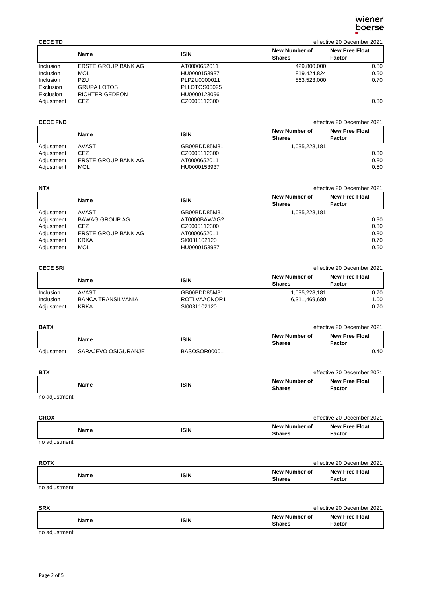| <b>CECE TD</b>   |                       |              | effective 20 December 2021     |                                 |
|------------------|-----------------------|--------------|--------------------------------|---------------------------------|
|                  | <b>Name</b>           | <b>ISIN</b>  | New Number of<br><b>Shares</b> | <b>New Free Float</b><br>Factor |
| <b>Inclusion</b> | ERSTE GROUP BANK AG   | AT0000652011 | 429.800.000                    | 0.80                            |
| Inclusion        | MOL                   | HU0000153937 | 819,424,824                    | 0.50                            |
| <b>Inclusion</b> | PZU                   | PLPZU0000011 | 863,523,000                    | 0.70                            |
| Exclusion        | <b>GRUPA LOTOS</b>    | PLLOTOS00025 |                                |                                 |
| Exclusion        | <b>RICHTER GEDEON</b> | HU0000123096 |                                |                                 |
| Adjustment       | CEZ                   | CZ0005112300 |                                | 0.30                            |

## **CECE FND** effective 20 December 2021

|            | Name                | <b>ISIN</b>  | New Number of<br><b>Shares</b> | <b>New Free Float</b><br>Factor |
|------------|---------------------|--------------|--------------------------------|---------------------------------|
| Adjustment | AVAST               | GB00BDD85M81 | 1.035.228.181                  |                                 |
| Adjustment | CEZ.                | CZ0005112300 |                                | 0.30                            |
| Adjustment | ERSTE GROUP BANK AG | AT0000652011 |                                | 0.80                            |
| Adjustment | <b>MOL</b>          | HU0000153937 |                                | 0.50                            |

| <b>NTX</b> |                            |              |                                | effective 20 December 2021      |
|------------|----------------------------|--------------|--------------------------------|---------------------------------|
|            | <b>Name</b>                | <b>ISIN</b>  | New Number of<br><b>Shares</b> | <b>New Free Float</b><br>Factor |
| Adjustment | AVAST                      | GB00BDD85M81 | 1,035,228,181                  |                                 |
| Adjustment | <b>BAWAG GROUP AG</b>      | AT0000BAWAG2 |                                | 0.90                            |
| Adjustment | CEZ                        | CZ0005112300 |                                | 0.30                            |
| Adjustment | <b>ERSTE GROUP BANK AG</b> | AT0000652011 |                                | 0.80                            |
| Adjustment | <b>KRKA</b>                | SI0031102120 |                                | 0.70                            |
| Adjustment | <b>MOL</b>                 | HU0000153937 |                                | 0.50                            |

## **CECE SRI** effective 20 December 2021

|                  | Name                      | <b>ISIN</b>  | New Number of<br><b>Shares</b> | <b>New Free Float</b><br>Factor |
|------------------|---------------------------|--------------|--------------------------------|---------------------------------|
| <b>Inclusion</b> | <b>AVAST</b>              | GB00BDD85M81 | 1,035,228,181                  | 0.70                            |
| <b>Inclusion</b> | <b>BANCA TRANSILVANIA</b> | ROTLVAACNOR1 | 6,311,469,680                  | 1.00                            |
| Adjustment       | <b>KRKA</b>               | SI0031102120 |                                | 0.70                            |

| <b>BATX</b> |                     |              |                                | effective 20 December 2021      |
|-------------|---------------------|--------------|--------------------------------|---------------------------------|
|             | Name                | <b>ISIN</b>  | New Number of<br><b>Shares</b> | <b>New Free Float</b><br>Factor |
| Adjustment  | SARAJEVO OSIGURANJE | BASOSOR00001 |                                | 0.40                            |

| <b>BTX</b>    |             |                                | effective 20 December 2021      |
|---------------|-------------|--------------------------------|---------------------------------|
| <b>Name</b>   | <b>ISIN</b> | New Number of<br><b>Shares</b> | <b>New Free Float</b><br>Factor |
| no adjustment |             |                                |                                 |

no adjustment

| <b>CROX</b>   |             |                                | effective 20 December 2021      |
|---------------|-------------|--------------------------------|---------------------------------|
| <b>Name</b>   | <b>ISIN</b> | New Number of<br><b>Shares</b> | <b>New Free Float</b><br>Factor |
| no adjustment |             |                                |                                 |

| <b>ROTX</b> |             |                                | effective 20 December 2021      |
|-------------|-------------|--------------------------------|---------------------------------|
| Name        | <b>ISIN</b> | New Number of<br><b>Shares</b> | <b>New Free Float</b><br>Factor |

no adjustment

| <b>SRX</b> |             | effective 20 December 2021     |                                 |
|------------|-------------|--------------------------------|---------------------------------|
| Name       | <b>ISIN</b> | New Number of<br><b>Shares</b> | <b>New Free Float</b><br>Factor |

no adjustment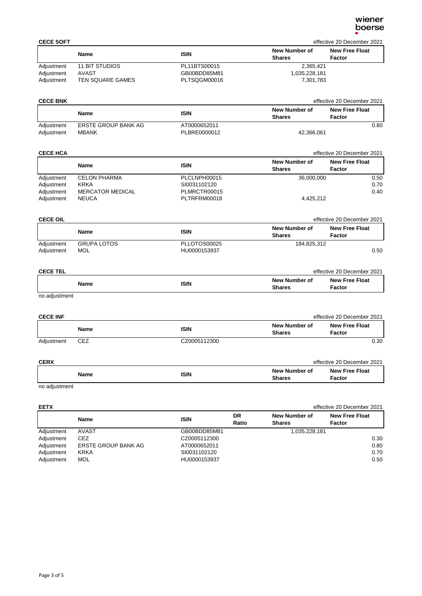| <b>CECE SOFT</b> |                  |              |                                | effective 20 December 2021      |
|------------------|------------------|--------------|--------------------------------|---------------------------------|
|                  | <b>Name</b>      | <b>ISIN</b>  | New Number of<br><b>Shares</b> | <b>New Free Float</b><br>Factor |
| Adjustment       | 11 BIT STUDIOS   | PL11BTS00015 | 2,365,421                      |                                 |
| Adjustment       | AVAST            | GB00BDD85M81 | 1,035,228,181                  |                                 |
| Adjustment       | TEN SQUARE GAMES | PLTSQGM00016 | 7,301,783                      |                                 |

| <b>CECE BNK</b> |                     |              |                                | effective 20 December 2021 |
|-----------------|---------------------|--------------|--------------------------------|----------------------------|
|                 | Name                | <b>ISIN</b>  | New Number of<br><b>Shares</b> | New Free Float<br>Factor   |
| Adjustment      | ERSTE GROUP BANK AG | AT0000652011 |                                | 0.80                       |
| Adjustment      | <b>MBANK</b>        | PLBRE0000012 | 42,366,061                     |                            |

## **CECE HCA** effective 20 December 2021

|            | Name                    | <b>ISIN</b>  | New Number of<br><b>Shares</b> | <b>New Free Float</b><br>Factor |
|------------|-------------------------|--------------|--------------------------------|---------------------------------|
| Adjustment | <b>CELON PHARMA</b>     | PLCLNPH00015 | 36,000,000                     | 0.50                            |
| Adjustment | <b>KRKA</b>             | SI0031102120 |                                | 0.70                            |
| Adjustment | <b>MERCATOR MEDICAL</b> | PLMRCTR00015 |                                | 0.40                            |
| Adjustment | <b>NEUCA</b>            | PLTRFRM00018 | 4,425,212                      |                                 |

| <b>CECE OIL</b>          |                                  |                              | effective 20 December 2021     |                                 |
|--------------------------|----------------------------------|------------------------------|--------------------------------|---------------------------------|
|                          | <b>Name</b>                      | <b>ISIN</b>                  | New Number of<br><b>Shares</b> | <b>New Free Float</b><br>Factor |
| Adjustment<br>Adjustment | <b>GRUPA LOTOS</b><br><b>MOL</b> | PLLOTOS00025<br>HU0000153937 | 184.825.312                    | 0.50                            |

| <b>CECE TEL</b> |             |                                | effective 20 December 2021      |
|-----------------|-------------|--------------------------------|---------------------------------|
| Name            | <b>ISIN</b> | New Number of<br><b>Shares</b> | <b>New Free Float</b><br>Factor |
| no adjustment   |             |                                |                                 |

no adjustment

| <b>CECE INF</b> |             |              |                                | effective 20 December 2021      |
|-----------------|-------------|--------------|--------------------------------|---------------------------------|
|                 | <b>Name</b> | ISIN         | New Number of<br><b>Shares</b> | <b>New Free Float</b><br>Factor |
| Adjustment      | CEZ         | CZ0005112300 |                                | 0.30                            |

| <b>CERX</b> |      |                                       | effective 20 December 2021      |
|-------------|------|---------------------------------------|---------------------------------|
| Name        | ISIN | <b>New Number of</b><br><b>Shares</b> | <b>New Free Float</b><br>Factor |

## no adjustment

| <b>EETX</b> |                     |              | effective 20 December 2021 |                                |                                 |
|-------------|---------------------|--------------|----------------------------|--------------------------------|---------------------------------|
|             | Name                | <b>ISIN</b>  | DR<br>Ratio                | New Number of<br><b>Shares</b> | <b>New Free Float</b><br>Factor |
| Adjustment  | AVAST               | GB00BDD85M81 |                            | 1,035,228,181                  |                                 |
| Adjustment  | <b>CEZ</b>          | CZ0005112300 |                            |                                | 0.30                            |
| Adjustment  | ERSTE GROUP BANK AG | AT0000652011 |                            |                                | 0.80                            |
| Adjustment  | <b>KRKA</b>         | SI0031102120 |                            |                                | 0.70                            |
| Adjustment  | <b>MOL</b>          | HU0000153937 |                            |                                | 0.50                            |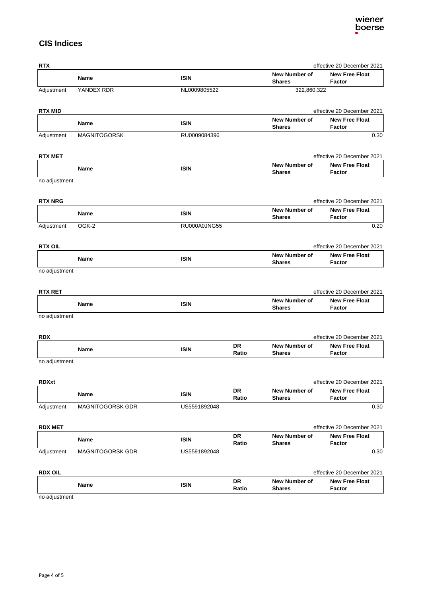## **CIS Indices**

| <b>RTX</b>     |                     |              |                    |                                       | effective 20 December 2021             |
|----------------|---------------------|--------------|--------------------|---------------------------------------|----------------------------------------|
|                | <b>Name</b>         | <b>ISIN</b>  |                    | New Number of<br><b>Shares</b>        | <b>New Free Float</b><br><b>Factor</b> |
| Adjustment     | YANDEX RDR          | NL0009805522 |                    | 322,860,322                           |                                        |
| <b>RTX MID</b> |                     |              |                    |                                       | effective 20 December 2021             |
|                | <b>Name</b>         | <b>ISIN</b>  |                    | New Number of<br><b>Shares</b>        | <b>New Free Float</b><br>Factor        |
| Adjustment     | <b>MAGNITOGORSK</b> | RU0009084396 |                    |                                       | 0.30                                   |
| <b>RTX MET</b> |                     |              |                    |                                       | effective 20 December 2021             |
|                | Name                | <b>ISIN</b>  |                    | <b>New Number of</b><br><b>Shares</b> | <b>New Free Float</b><br><b>Factor</b> |
| no adjustment  |                     |              |                    |                                       |                                        |
| <b>RTX NRG</b> |                     |              |                    |                                       | effective 20 December 2021             |
|                | Name                | <b>ISIN</b>  |                    | <b>New Number of</b><br><b>Shares</b> | <b>New Free Float</b><br>Factor        |
| Adjustment     | OGK-2               | RU000A0JNG55 |                    |                                       | 0.20                                   |
| <b>RTX OIL</b> |                     |              |                    |                                       | effective 20 December 2021             |
|                | Name                | <b>ISIN</b>  |                    | <b>New Number of</b><br><b>Shares</b> | <b>New Free Float</b><br><b>Factor</b> |
| no adjustment  |                     |              |                    |                                       |                                        |
| <b>RTX RET</b> |                     |              |                    |                                       | effective 20 December 2021             |
|                | Name                | <b>ISIN</b>  |                    | New Number of<br><b>Shares</b>        | <b>New Free Float</b><br>Factor        |
| no adjustment  |                     |              |                    |                                       |                                        |
| <b>RDX</b>     |                     |              |                    |                                       | effective 20 December 2021             |
|                | Name                | <b>ISIN</b>  | <b>DR</b><br>Ratio | New Number of<br><b>Shares</b>        | <b>New Free Float</b><br>Factor        |
| no adjustment  |                     |              |                    |                                       |                                        |
| <b>RDXxt</b>   |                     |              |                    |                                       | effective 20 December 2021             |
|                | Name                | <b>ISIN</b>  | DR<br>Ratio        | <b>New Number of</b><br><b>Shares</b> | <b>New Free Float</b><br>Factor        |
| Adjustment     | MAGNITOGORSK GDR    | US5591892048 |                    |                                       | 0.30                                   |
| <b>RDX MET</b> |                     |              |                    |                                       | effective 20 December 2021             |
|                | Name                | <b>ISIN</b>  | DR<br>Ratio        | New Number of<br><b>Shares</b>        | <b>New Free Float</b><br>Factor        |
| Adjustment     | MAGNITOGORSK GDR    | US5591892048 |                    |                                       | 0.30                                   |
| <b>RDX OIL</b> |                     |              |                    |                                       | effective 20 December 2021             |
|                | Name                | <b>ISIN</b>  | DR<br>Ratio        | New Number of<br><b>Shares</b>        | <b>New Free Float</b><br>Factor        |
|                |                     |              |                    |                                       |                                        |

no adjustment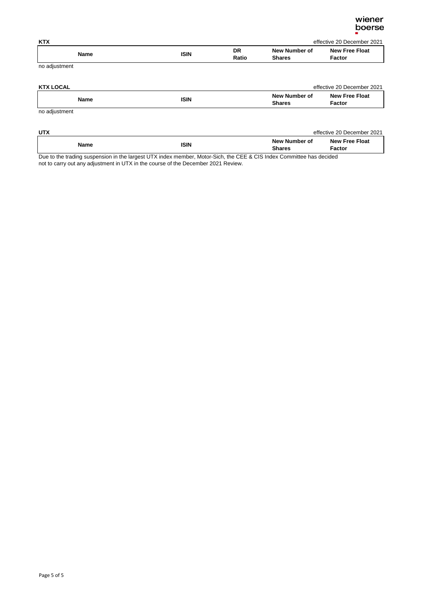| <b>KTX</b>    |             |             |                                | effective 20 December 2021      |
|---------------|-------------|-------------|--------------------------------|---------------------------------|
| Name          | <b>ISIN</b> | DR<br>Ratio | New Number of<br><b>Shares</b> | <b>New Free Float</b><br>Factor |
| no adjustment |             |             |                                |                                 |

| <b>KTX LOCAL</b>                                                                                                |             |                                | effective 20 December 2021      |
|-----------------------------------------------------------------------------------------------------------------|-------------|--------------------------------|---------------------------------|
| Name                                                                                                            | <b>ISIN</b> | New Number of<br><b>Shares</b> | <b>New Free Float</b><br>Factor |
| the contract of the contract of the contract of the contract of the contract of the contract of the contract of |             |                                |                                 |

no adjustment

| <b>UTX</b>  |             |                                       | effective 20 December 2021      |
|-------------|-------------|---------------------------------------|---------------------------------|
| <b>Name</b> | <b>ISIN</b> | <b>New Number of</b><br><b>Shares</b> | <b>New Free Float</b><br>Factor |

Due to the trading suspension in the largest UTX index member, Motor-Sich, the CEE & CIS Index Committee has decided not to carry out any adjustment in UTX in the course of the December 2021 Review.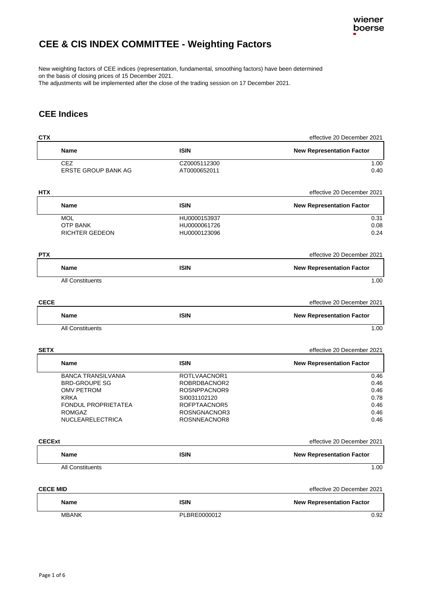## <span id="page-6-0"></span>**CEE & CIS INDEX COMMITTEE - Weighting Factors**

New weighting factors of CEE indices (representation, fundamental, smoothing factors) have been determined on the basis of closing prices of 15 December 2021.

The adjustments will be implemented after the close of the trading session on 17 December 2021.

## **CEE Indices**

| <b>CTX</b>      |                                   |                              | effective 20 December 2021       |
|-----------------|-----------------------------------|------------------------------|----------------------------------|
|                 | Name                              | <b>ISIN</b>                  | <b>New Representation Factor</b> |
|                 | CEZ                               | CZ0005112300                 | 1.00                             |
|                 | ERSTE GROUP BANK AG               | AT0000652011                 | 0.40                             |
| <b>HTX</b>      |                                   |                              | effective 20 December 2021       |
|                 | Name                              | <b>ISIN</b>                  | <b>New Representation Factor</b> |
|                 | <b>MOL</b>                        | HU0000153937                 | 0.31                             |
|                 | <b>OTP BANK</b>                   | HU0000061726                 | 0.08                             |
|                 | <b>RICHTER GEDEON</b>             | HU0000123096                 | 0.24                             |
| <b>PTX</b>      |                                   |                              | effective 20 December 2021       |
|                 | Name                              | <b>ISIN</b>                  | <b>New Representation Factor</b> |
|                 | All Constituents                  |                              | 1.00                             |
| <b>CECE</b>     |                                   |                              | effective 20 December 2021       |
|                 | Name                              | <b>ISIN</b>                  | <b>New Representation Factor</b> |
|                 | All Constituents                  |                              | 1.00                             |
|                 |                                   |                              |                                  |
| <b>SETX</b>     |                                   |                              | effective 20 December 2021       |
|                 | Name                              | <b>ISIN</b>                  | <b>New Representation Factor</b> |
|                 | <b>BANCA TRANSILVANIA</b>         | ROTLVAACNOR1                 | 0.46                             |
|                 | <b>BRD-GROUPE SG</b>              | ROBRDBACNOR2                 | 0.46                             |
|                 | <b>OMV PETROM</b>                 | ROSNPPACNOR9                 | 0.46                             |
|                 | <b>KRKA</b>                       | SI0031102120                 | 0.78                             |
|                 | FONDUL PROPRIETATEA               | ROFPTAACNOR5                 | 0.46                             |
|                 | <b>ROMGAZ</b><br>NUCLEARELECTRICA | ROSNGNACNOR3<br>ROSNNEACNOR8 | 0.46<br>0.46                     |
|                 |                                   |                              |                                  |
| <b>CECExt</b>   |                                   |                              | effective 20 December 2021       |
|                 | Name                              | <b>ISIN</b>                  | <b>New Representation Factor</b> |
|                 | All Constituents                  |                              | 1.00                             |
| <b>CECE MID</b> |                                   |                              | effective 20 December 2021       |
|                 |                                   |                              |                                  |
|                 | Name                              | <b>ISIN</b>                  | <b>New Representation Factor</b> |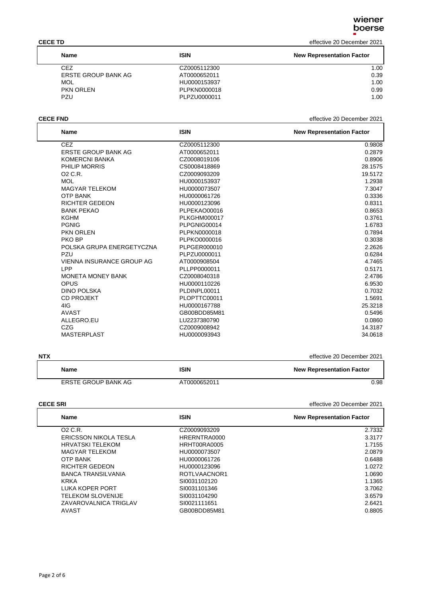**CECE TD** effective 20 December 2021

| <b>Name</b>         | <b>ISIN</b>  | <b>New Representation Factor</b> |
|---------------------|--------------|----------------------------------|
| CEZ.                | CZ0005112300 | 1.00                             |
| ERSTE GROUP BANK AG | AT0000652011 | 0.39                             |
| <b>MOL</b>          | HU0000153937 | 1.00                             |
| <b>PKN ORLEN</b>    | PLPKN0000018 | 0.99                             |
| PZU                 | PLPZU0000011 | 1.00                             |

**CECE FND** effective 20 December 2021

| <b>Name</b>                | <b>ISIN</b>         | <b>New Representation Factor</b> |
|----------------------------|---------------------|----------------------------------|
| <b>CEZ</b>                 | CZ0005112300        | 0.9808                           |
| <b>ERSTE GROUP BANK AG</b> | AT0000652011        | 0.2879                           |
| <b>KOMERCNI BANKA</b>      | CZ0008019106        | 0.8906                           |
| PHILIP MORRIS              | CS0008418869        | 28.1575                          |
| 02 C.R.                    | CZ0009093209        | 19.5172                          |
| <b>MOL</b>                 | HU0000153937        | 1.2938                           |
| <b>MAGYAR TELEKOM</b>      | HU0000073507        | 7.3047                           |
| <b>OTP BANK</b>            | HU0000061726        | 0.3336                           |
| <b>RICHTER GEDEON</b>      | HU0000123096        | 0.8311                           |
| <b>BANK PEKAO</b>          | PLPEKAO00016        | 0.8653                           |
| <b>KGHM</b>                | <b>PLKGHM000017</b> | 0.3761                           |
| <b>PGNIG</b>               | PLPGNIG00014        | 1.6783                           |
| <b>PKN ORLEN</b>           | PLPKN0000018        | 0.7894                           |
| PKO BP                     | PLPKO0000016        | 0.3038                           |
| POLSKA GRUPA ENERGETYCZNA  | PLPGER000010        | 2.2626                           |
| PZU                        | PLPZU0000011        | 0.6284                           |
| VIENNA INSURANCE GROUP AG  | AT0000908504        | 4.7465                           |
| LPP                        | PLLPP0000011        | 0.5171                           |
| <b>MONETA MONEY BANK</b>   | CZ0008040318        | 2.4786                           |
| OPUS                       | HU0000110226        | 6.9530                           |
| <b>DINO POLSKA</b>         | PLDINPL00011        | 0.7032                           |
| <b>CD PROJEKT</b>          | PLOPTTC00011        | 1.5691                           |
| 4IG                        | HU0000167788        | 25.3218                          |
| <b>AVAST</b>               | GB00BDD85M81        | 0.5496                           |
| ALLEGRO.EU                 | LU2237380790        | 0.0860                           |
| CZG                        | CZ0009008942        | 14.3187                          |
| <b>MASTERPLAST</b>         | HU0000093943        | 34.0618                          |

| <b>NTX</b>          |              | effective 20 December 2021       |
|---------------------|--------------|----------------------------------|
| Name                | <b>ISIN</b>  | <b>New Representation Factor</b> |
| ERSTE GROUP BANK AG | AT0000652011 | 0.98                             |

## **CECE SRI** effective 20 December 2021

| <b>Name</b>              | ISIN         | <b>New Representation Factor</b> |
|--------------------------|--------------|----------------------------------|
| $02$ C.R.                | CZ0009093209 | 2.7332                           |
| ERICSSON NIKOLA TESLA    | HRERNTRA0000 | 3.3177                           |
| <b>HRVATSKI TELEKOM</b>  | HRHT00RA0005 | 1.7155                           |
| MAGYAR TELEKOM           | HU0000073507 | 2.0879                           |
| <b>OTP BANK</b>          | HU0000061726 | 0.6488                           |
| <b>RICHTER GEDEON</b>    | HU0000123096 | 1.0272                           |
| BANCA TRANSILVANIA       | ROTLVAACNOR1 | 1.0690                           |
| <b>KRKA</b>              | SI0031102120 | 1.1365                           |
| LUKA KOPER PORT          | SI0031101346 | 3.7062                           |
| <b>TELEKOM SLOVENIJE</b> | SI0031104290 | 3.6579                           |
| ZAVAROVALNICA TRIGLAV    | SI0021111651 | 2.6421                           |
| AVAST                    | GB00BDD85M81 | 0.8805                           |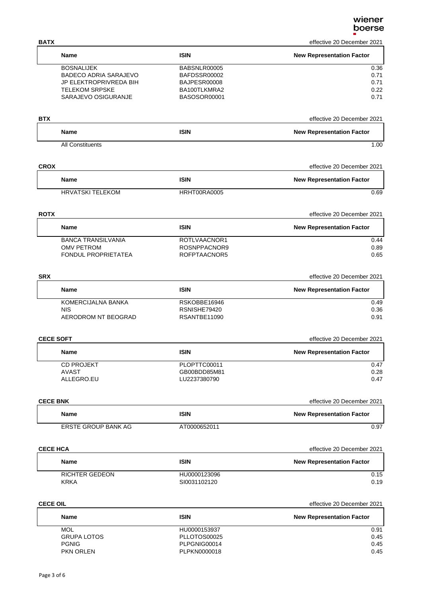| <b>BATX</b>       |                              |                              | effective 20 December 2021       |
|-------------------|------------------------------|------------------------------|----------------------------------|
| Name              |                              | <b>ISIN</b>                  | <b>New Representation Factor</b> |
| <b>BOSNALIJEK</b> |                              | BABSNLR00005                 | 0.36                             |
|                   | <b>BADECO ADRIA SARAJEVO</b> | BAFDSSR00002                 | 0.71                             |
|                   | JP ELEKTROPRIVREDA BIH       | BAJPESR00008                 | 0.71                             |
|                   | <b>TELEKOM SRPSKE</b>        | BA100TLKMRA2                 | 0.22                             |
|                   | SARAJEVO OSIGURANJE          | BASOSOR00001                 | 0.71                             |
| <b>BTX</b>        |                              |                              | effective 20 December 2021       |
| Name              |                              | <b>ISIN</b>                  | <b>New Representation Factor</b> |
|                   | <b>All Constituents</b>      |                              | 1.00                             |
| <b>CROX</b>       |                              |                              | effective 20 December 2021       |
| <b>Name</b>       |                              | <b>ISIN</b>                  | <b>New Representation Factor</b> |
|                   | <b>HRVATSKI TELEKOM</b>      | HRHT00RA0005                 | 0.69                             |
| <b>ROTX</b>       |                              |                              | effective 20 December 2021       |
| Name              |                              | <b>ISIN</b>                  | <b>New Representation Factor</b> |
|                   | <b>BANCA TRANSILVANIA</b>    | ROTLVAACNOR1                 | 0.44                             |
| <b>OMV PETROM</b> |                              | ROSNPPACNOR9                 | 0.89                             |
|                   | FONDUL PROPRIETATEA          | ROFPTAACNOR5                 | 0.65                             |
| <b>SRX</b>        |                              |                              | effective 20 December 2021       |
| <b>Name</b>       |                              | <b>ISIN</b>                  | <b>New Representation Factor</b> |
|                   | KOMERCIJALNA BANKA           | RSKOBBE16946                 | 0.49                             |
| <b>NIS</b>        |                              | RSNISHE79420                 | 0.36                             |
|                   | AERODROM NT BEOGRAD          | RSANTBE11090                 | 0.91                             |
| <b>CECE SOFT</b>  |                              |                              | effective 20 December 2021       |
| Name              |                              | <b>ISIN</b>                  | <b>New Representation Factor</b> |
| <b>CD PROJEKT</b> |                              | PLOPTTC00011                 | 0.47                             |
| <b>AVAST</b>      |                              | GB00BDD85M81                 | 0.28                             |
| ALLEGRO.EU        |                              | LU2237380790                 | 0.47                             |
| <b>CECE BNK</b>   |                              |                              | effective 20 December 2021       |
| Name              |                              | <b>ISIN</b>                  | <b>New Representation Factor</b> |
|                   | ERSTE GROUP BANK AG          | AT0000652011                 | 0.97                             |
| <b>CECE HCA</b>   |                              |                              | effective 20 December 2021       |
| Name              |                              | <b>ISIN</b>                  | <b>New Representation Factor</b> |
| <b>KRKA</b>       | <b>RICHTER GEDEON</b>        | HU0000123096<br>SI0031102120 | 0.15<br>0.19                     |
|                   |                              |                              |                                  |
| <b>CECE OIL</b>   |                              |                              | effective 20 December 2021       |
| <b>Name</b>       |                              | <b>ISIN</b>                  | <b>New Representation Factor</b> |
| <b>MOL</b>        |                              | HU0000153937                 | 0.91                             |
| <b>PGNIG</b>      | <b>GRUPA LOTOS</b>           | PLLOTOS00025<br>PLPGNIG00014 | 0.45<br>0.45                     |
| PKN ORLEN         |                              | PLPKN0000018                 | 0.45                             |
|                   |                              |                              |                                  |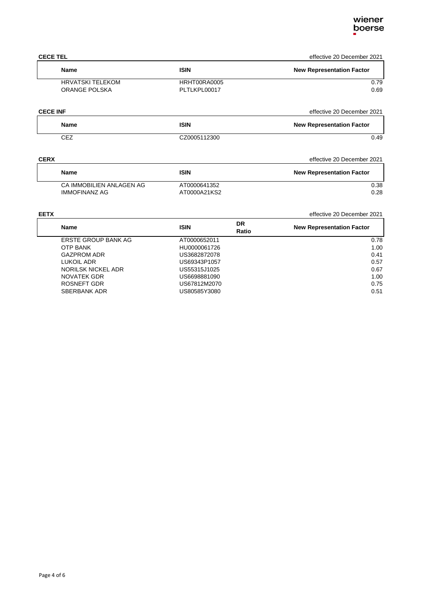## **CECE TEL** effective 20 December 2021

| <b>Name</b>             | <b>ISIN</b>  | <b>New Representation Factor</b> |
|-------------------------|--------------|----------------------------------|
| <b>HRVATSKI TELEKOM</b> | HRHT00RA0005 | 0.79                             |
| ORANGE POLSKA           | PLTLKPL00017 | 0.69                             |

| <b>CECE INF</b> |              | effective 20 December 2021       |
|-----------------|--------------|----------------------------------|
| Name            | <b>ISIN</b>  | <b>New Representation Factor</b> |
| <b>CEZ</b>      | CZ0005112300 | 0.49                             |

## **CERX** effective 20 December 2021

| <b>Name</b>              | <b>ISIN</b>  | <b>New Representation Factor</b> |
|--------------------------|--------------|----------------------------------|
| CA IMMOBILIEN ANLAGEN AG | AT0000641352 | 0.38                             |
| <b>IMMOFINANZ AG</b>     | AT0000A21KS2 | 0.28                             |

## **EETX** effective 20 December 2021

| <b>Name</b>         | <b>ISIN</b>  | DR<br>Ratio | <b>New Representation Factor</b> |
|---------------------|--------------|-------------|----------------------------------|
| ERSTE GROUP BANK AG | AT0000652011 |             | 0.78                             |
| <b>OTP BANK</b>     | HU0000061726 |             | 1.00                             |
| <b>GAZPROM ADR</b>  | US3682872078 |             | 0.41                             |
| LUKOIL ADR          | US69343P1057 |             | 0.57                             |
| NORILSK NICKEL ADR  | US55315J1025 |             | 0.67                             |
| NOVATEK GDR         | US6698881090 |             | 1.00                             |
| ROSNEFT GDR         | US67812M2070 |             | 0.75                             |
| <b>SBERBANK ADR</b> | US80585Y3080 |             | 0.51                             |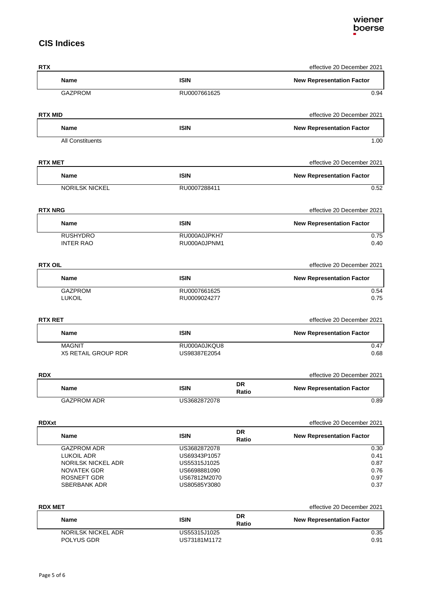## **CIS Indices**

| <b>RTX</b>                              |                              |                    | effective 20 December 2021       |
|-----------------------------------------|------------------------------|--------------------|----------------------------------|
| <b>Name</b>                             | <b>ISIN</b>                  |                    | <b>New Representation Factor</b> |
| <b>GAZPROM</b>                          | RU0007661625                 |                    | 0.94                             |
| <b>RTX MID</b>                          |                              |                    | effective 20 December 2021       |
| Name                                    | <b>ISIN</b>                  |                    | <b>New Representation Factor</b> |
| All Constituents                        |                              |                    | 1.00                             |
| <b>RTX MET</b>                          |                              |                    | effective 20 December 2021       |
| <b>Name</b>                             | <b>ISIN</b>                  |                    | <b>New Representation Factor</b> |
| <b>NORILSK NICKEL</b>                   | RU0007288411                 |                    | 0.52                             |
| <b>RTX NRG</b>                          |                              |                    | effective 20 December 2021       |
| Name                                    | <b>ISIN</b>                  |                    | <b>New Representation Factor</b> |
| <b>RUSHYDRO</b><br><b>INTER RAO</b>     | RU000A0JPKH7<br>RU000A0JPNM1 |                    | 0.75<br>0.40                     |
| <b>RTX OIL</b>                          |                              |                    | effective 20 December 2021       |
| Name                                    | <b>ISIN</b>                  |                    | <b>New Representation Factor</b> |
| <b>GAZPROM</b><br><b>LUKOIL</b>         | RU0007661625<br>RU0009024277 |                    | 0.54<br>0.75                     |
| <b>RTX RET</b>                          |                              |                    | effective 20 December 2021       |
| <b>Name</b>                             | <b>ISIN</b>                  |                    | <b>New Representation Factor</b> |
| <b>MAGNIT</b><br>X5 RETAIL GROUP RDR    | RU000A0JKQU8<br>US98387E2054 |                    | 0.47<br>0.68                     |
| <b>RDX</b>                              |                              |                    | effective 20 December 2021       |
| <b>Name</b>                             | <b>ISIN</b>                  | DR<br>Ratio        | <b>New Representation Factor</b> |
| <b>GAZPROM ADR</b>                      | US3682872078                 |                    | 0.89                             |
| <b>RDXxt</b>                            |                              |                    | effective 20 December 2021       |
| Name                                    | <b>ISIN</b>                  | <b>DR</b><br>Ratio | <b>New Representation Factor</b> |
| <b>GAZPROM ADR</b>                      | US3682872078                 |                    | 0.30                             |
| <b>LUKOIL ADR</b><br>NORILSK NICKEL ADR | US69343P1057<br>US55315J1025 |                    | 0.41<br>0.87                     |
| NOVATEK GDR                             | US6698881090                 |                    | 0.76                             |
| ROSNEFT GDR                             | US67812M2070                 |                    | 0.97                             |
| <b>SBERBANK ADR</b>                     | US80585Y3080                 |                    | 0.37                             |
| <b>RDX MET</b>                          |                              |                    | effective 20 December 2021       |
| Name                                    | <b>ISIN</b>                  | DR<br>Ratio        | <b>New Representation Factor</b> |
| <b>NORILSK NICKEL ADR</b>               | US55315J1025                 |                    | 0.35                             |
| POLYUS GDR                              | US73181M1172                 |                    | 0.91                             |